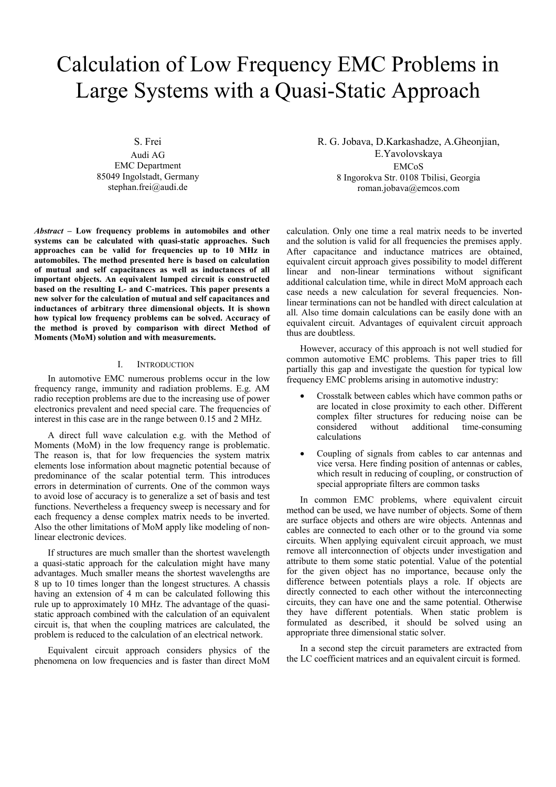# Calculation of Low Frequency EMC Problems in Large Systems with a Quasi-Static Approach

S. Frei

Audi AG EMC Department 85049 Ingolstadt, Germany stephan.frei@audi.de

*Abstract –* **Low frequency problems in automobiles and other systems can be calculated with quasi-static approaches. Such approaches can be valid for frequencies up to 10 MHz in automobiles. The method presented here is based on calculation of mutual and self capacitances as well as inductances of all important objects. An equivalent lumped circuit is constructed based on the resulting L- and C-matrices. This paper presents a new solver for the calculation of mutual and self capacitances and inductances of arbitrary three dimensional objects. It is shown how typical low frequency problems can be solved. Accuracy of the method is proved by comparison with direct Method of Moments (MoM) solution and with measurements.** 

## I. INTRODUCTION

In automotive EMC numerous problems occur in the low frequency range, immunity and radiation problems. E.g. AM radio reception problems are due to the increasing use of power electronics prevalent and need special care. The frequencies of interest in this case are in the range between 0.15 and 2 MHz.

A direct full wave calculation e.g. with the Method of Moments (MoM) in the low frequency range is problematic. The reason is, that for low frequencies the system matrix elements lose information about magnetic potential because of predominance of the scalar potential term. This introduces errors in determination of currents. One of the common ways to avoid lose of accuracy is to generalize a set of basis and test functions. Nevertheless a frequency sweep is necessary and for each frequency a dense complex matrix needs to be inverted. Also the other limitations of MoM apply like modeling of nonlinear electronic devices.

If structures are much smaller than the shortest wavelength a quasi-static approach for the calculation might have many advantages. Much smaller means the shortest wavelengths are 8 up to 10 times longer than the longest structures. A chassis having an extension of 4 m can be calculated following this rule up to approximately 10 MHz. The advantage of the quasistatic approach combined with the calculation of an equivalent circuit is, that when the coupling matrices are calculated, the problem is reduced to the calculation of an electrical network.

Equivalent circuit approach considers physics of the phenomena on low frequencies and is faster than direct MoM R. G. Jobava, D.Karkashadze, A.Gheonjian, E.Yavolovskaya EMCoS 8 Ingorokva Str. 0108 Tbilisi, Georgia roman.jobava@emcos.com

calculation. Only one time a real matrix needs to be inverted and the solution is valid for all frequencies the premises apply. After capacitance and inductance matrices are obtained, equivalent circuit approach gives possibility to model different linear and non-linear terminations without significant additional calculation time, while in direct MoM approach each case needs a new calculation for several frequencies. Nonlinear terminations can not be handled with direct calculation at all. Also time domain calculations can be easily done with an equivalent circuit. Advantages of equivalent circuit approach thus are doubtless.

However, accuracy of this approach is not well studied for common automotive EMC problems. This paper tries to fill partially this gap and investigate the question for typical low frequency EMC problems arising in automotive industry:

- Crosstalk between cables which have common paths or are located in close proximity to each other. Different complex filter structures for reducing noise can be considered without additional time-consuming calculations
- Coupling of signals from cables to car antennas and vice versa. Here finding position of antennas or cables, which result in reducing of coupling, or construction of special appropriate filters are common tasks

In common EMC problems, where equivalent circuit method can be used, we have number of objects. Some of them are surface objects and others are wire objects. Antennas and cables are connected to each other or to the ground via some circuits. When applying equivalent circuit approach, we must remove all interconnection of objects under investigation and attribute to them some static potential. Value of the potential for the given object has no importance, because only the difference between potentials plays a role. If objects are directly connected to each other without the interconnecting circuits, they can have one and the same potential. Otherwise they have different potentials. When static problem is formulated as described, it should be solved using an appropriate three dimensional static solver.

In a second step the circuit parameters are extracted from the LC coefficient matrices and an equivalent circuit is formed.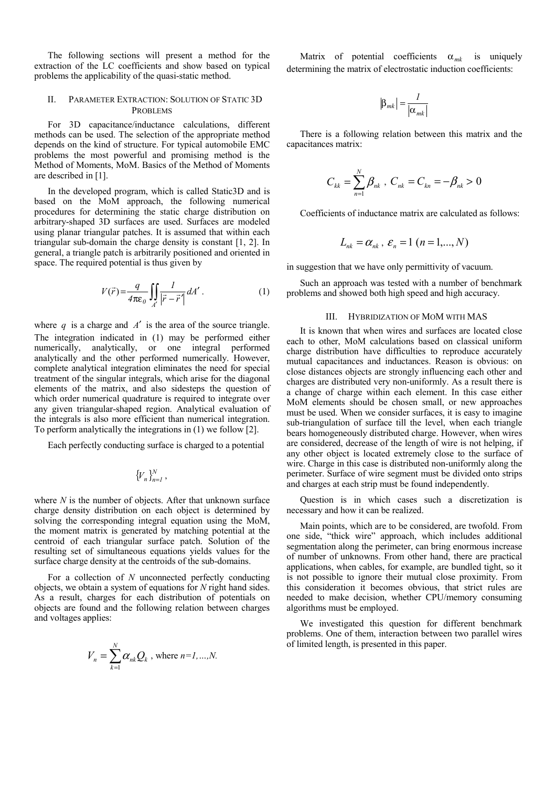The following sections will present a method for the extraction of the LC coefficients and show based on typical problems the applicability of the quasi-static method.

## II. PARAMETER EXTRACTION: SOLUTION OF STATIC 3D PROBLEMS

For 3D capacitance/inductance calculations, different methods can be used. The selection of the appropriate method depends on the kind of structure. For typical automobile EMC problems the most powerful and promising method is the Method of Moments, MoM. Basics of the Method of Moments are described in [1].

In the developed program, which is called Static3D and is based on the MoM approach, the following numerical procedures for determining the static charge distribution on arbitrary-shaped 3D surfaces are used. Surfaces are modeled using planar triangular patches. It is assumed that within each triangular sub-domain the charge density is constant [1, 2]. In general, a triangle patch is arbitrarily positioned and oriented in space. The required potential is thus given by

$$
V(\vec{r}) = \frac{q}{4\pi\epsilon_0} \iint_A \frac{I}{|\vec{r} - \vec{r}'|} dA' . \tag{1}
$$

where  $q$  is a charge and  $A'$  is the area of the source triangle. The integration indicated in (1) may be performed either numerically, analytically, or one integral performed analytically and the other performed numerically. However, complete analytical integration eliminates the need for special treatment of the singular integrals, which arise for the diagonal elements of the matrix, and also sidesteps the question of which order numerical quadrature is required to integrate over any given triangular-shaped region. Analytical evaluation of the integrals is also more efficient than numerical integration. To perform analytically the integrations in (1) we follow [2].

Each perfectly conducting surface is charged to a potential

$$
\{V_n\}_{n=1}^N,
$$

where *N* is the number of objects. After that unknown surface charge density distribution on each object is determined by solving the corresponding integral equation using the MoM, the moment matrix is generated by matching potential at the centroid of each triangular surface patch. Solution of the resulting set of simultaneous equations yields values for the surface charge density at the centroids of the sub-domains.

For a collection of *N* unconnected perfectly conducting objects, we obtain a system of equations for *N* right hand sides. As a result, charges for each distribution of potentials on objects are found and the following relation between charges and voltages applies:

$$
V_n = \sum_{k=1}^N \alpha_{nk} Q_k
$$
, where  $n=1,...,N$ .

Matrix of potential coefficients  $\alpha_{mk}$  is uniquely determining the matrix of electrostatic induction coefficients:

$$
\left|\beta_{mk}\right| = \frac{l}{\left|\alpha_{mk}\right|}
$$

There is a following relation between this matrix and the capacitances matrix:

$$
C_{kk} = \sum_{n=1}^{N} \beta_{nk} , C_{nk} = C_{kn} = -\beta_{nk} > 0
$$

Coefficients of inductance matrix are calculated as follows:

$$
L_{nk} = \alpha_{nk}, \varepsilon_n = 1 \ (n = 1, \ldots, N)
$$

in suggestion that we have only permittivity of vacuum.

Such an approach was tested with a number of benchmark problems and showed both high speed and high accuracy.

#### III. HYBRIDIZATION OF MOM WITH MAS

It is known that when wires and surfaces are located close each to other, MoM calculations based on classical uniform charge distribution have difficulties to reproduce accurately mutual capacitances and inductances. Reason is obvious: on close distances objects are strongly influencing each other and charges are distributed very non-uniformly. As a result there is a change of charge within each element. In this case either MoM elements should be chosen small, or new approaches must be used. When we consider surfaces, it is easy to imagine sub-triangulation of surface till the level, when each triangle bears homogeneously distributed charge. However, when wires are considered, decrease of the length of wire is not helping, if any other object is located extremely close to the surface of wire. Charge in this case is distributed non-uniformly along the perimeter. Surface of wire segment must be divided onto strips and charges at each strip must be found independently.

Question is in which cases such a discretization is necessary and how it can be realized.

Main points, which are to be considered, are twofold. From one side, "thick wire" approach, which includes additional segmentation along the perimeter, can bring enormous increase of number of unknowns. From other hand, there are practical applications, when cables, for example, are bundled tight, so it is not possible to ignore their mutual close proximity. From this consideration it becomes obvious, that strict rules are needed to make decision, whether CPU/memory consuming algorithms must be employed.

We investigated this question for different benchmark problems. One of them, interaction between two parallel wires of limited length, is presented in this paper.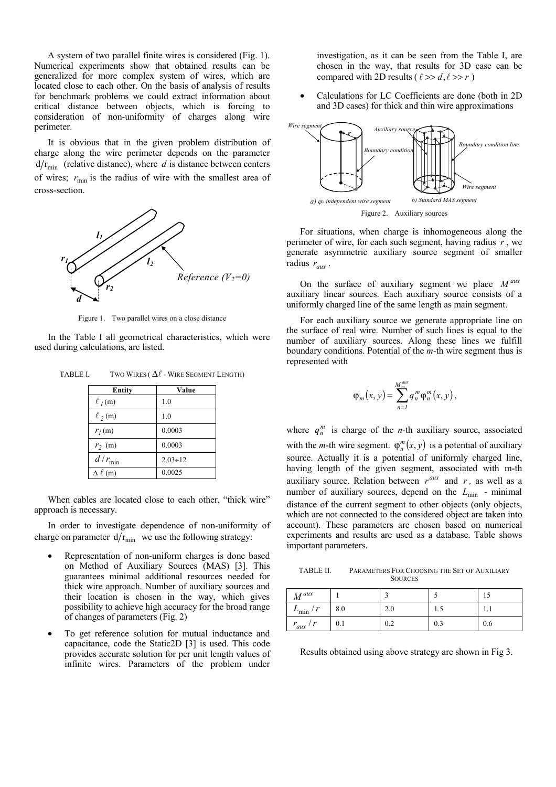A system of two parallel finite wires is considered (Fig. 1). Numerical experiments show that obtained results can be generalized for more complex system of wires, which are located close to each other. On the basis of analysis of results for benchmark problems we could extract information about critical distance between objects, which is forcing to consideration of non-uniformity of charges along wire perimeter.

It is obvious that in the given problem distribution of charge along the wire perimeter depends on the parameter  $d/r_{\text{min}}$  (relative distance), where *d* is distance between centers of wires;  $r_{\text{min}}$  is the radius of wire with the smallest area of cross-section.



Figure 1. Two parallel wires on a close distance

In the Table I all geometrical characteristics, which were used during calculations, are listed.

TABLE I. TWO WIRES ( $\Delta \ell$  - WIRE SEGMENT LENGTH)

| <b>Entity</b>     | Value          |
|-------------------|----------------|
| $\ell_I(m)$       | 1.0            |
| $\ell_2(m)$       | 1.0            |
| $r_l$ (m)         | 0.0003         |
| $r_2$ (m)         | 0.0003         |
| $d/r_{\min}$      | $2.03 \div 12$ |
| $\Delta \ell$ (m) | 0.0025         |

When cables are located close to each other, "thick wire" approach is necessary.

In order to investigate dependence of non-uniformity of charge on parameter  $d/r_{\text{min}}$  we use the following strategy:

- Representation of non-uniform charges is done based on Method of Auxiliary Sources (MAS) [3]. This guarantees minimal additional resources needed for thick wire approach. Number of auxiliary sources and their location is chosen in the way, which gives possibility to achieve high accuracy for the broad range of changes of parameters (Fig. 2)
- To get reference solution for mutual inductance and capacitance, code the Static2D [3] is used. This code provides accurate solution for per unit length values of infinite wires. Parameters of the problem under

investigation, as it can be seen from the Table I, are chosen in the way, that results for 3D case can be compared with 2D results ( $\ell >> d, \ell >> r$ )

• Calculations for LC Coefficients are done (both in 2D and 3D cases) for thick and thin wire approximations



For situations, when charge is inhomogeneous along the perimeter of wire, for each such segment, having radius *r* , we generate asymmetric auxiliary source segment of smaller radius  $r_{\text{aux}}$ .

On the surface of auxiliary segment we place  $M^{aux}$ auxiliary linear sources. Each auxiliary source consists of a uniformly charged line of the same length as main segment.

For each auxiliary source we generate appropriate line on the surface of real wire. Number of such lines is equal to the number of auxiliary sources. Along these lines we fulfill boundary conditions. Potential of the *m-*th wire segment thus is represented with

$$
\varphi_m(x,y) = \sum_{n=1}^{M_m^{aux}} q_n^m \varphi_n^m(x,y),
$$

where  $q_n^m$  is charge of the *n*-th auxiliary source, associated with the *m*-th wire segment.  $\varphi_n^m(x, y)$  is a potential of auxiliary source. Actually it is a potential of uniformly charged line, having length of the given segment, associated with m-th auxiliary source. Relation between  $r^{aux}$  and  $r$ , as well as a number of auxiliary sources, depend on the  $L_{\text{min}}$  - minimal distance of the current segment to other objects (only objects, which are not connected to the considered object are taken into account). These parameters are chosen based on numerical experiments and results are used as a database. Table shows important parameters.

TABLE II. PARAMETERS FOR CHOOSING THE SET OF AUXILIARY **SOURCES** 

| $M^{aux}$              |     |     |     |     |
|------------------------|-----|-----|-----|-----|
| /r<br>$L_{\text{min}}$ | 8.0 | 2.0 | 1.9 | .   |
| $r_{aux}$ / $r$        | 0.1 | 0.2 | 0.3 | 0.6 |

Results obtained using above strategy are shown in Fig 3.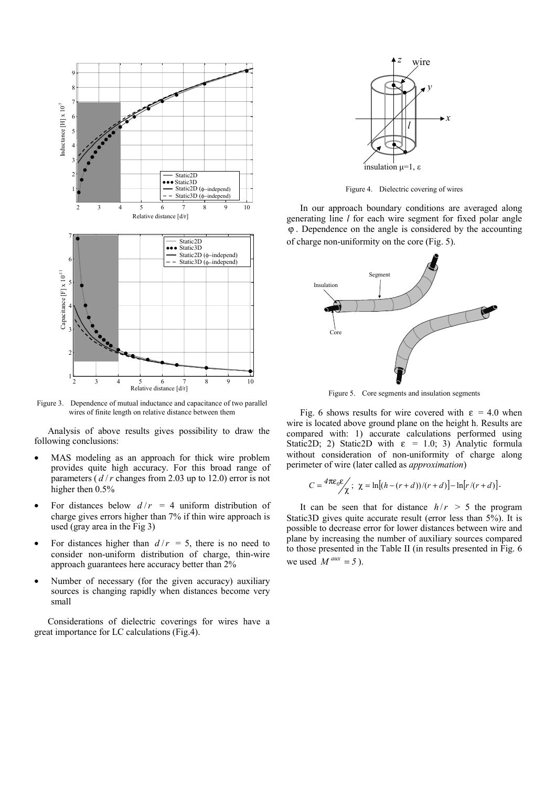

Figure 3. Dependence of mutual inductance and capacitance of two parallel wires of finite length on relative distance between them

Analysis of above results gives possibility to draw the following conclusions:

- MAS modeling as an approach for thick wire problem provides quite high accuracy. For this broad range of parameters ( $d/r$  changes from 2.03 up to 12.0) error is not higher then 0.5%
- For distances below  $d/r = 4$  uniform distribution of charge gives errors higher than 7% if thin wire approach is used (gray area in the Fig 3)
- For distances higher than  $d/r = 5$ , there is no need to consider non-uniform distribution of charge, thin-wire approach guarantees here accuracy better than 2%
- Number of necessary (for the given accuracy) auxiliary sources is changing rapidly when distances become very small

Considerations of dielectric coverings for wires have a great importance for LC calculations (Fig.4).



Figure 4. Dielectric covering of wires

In our approach boundary conditions are averaged along generating line *l* for each wire segment for fixed polar angle ϕ . Dependence on the angle is considered by the accounting of charge non-uniformity on the core (Fig. 5).



Figure 5. Core segments and insulation segments

Fig. 6 shows results for wire covered with  $\varepsilon = 4.0$  when wire is located above ground plane on the height h. Results are compared with: 1) accurate calculations performed using Static2D; 2) Static2D with  $\varepsilon = 1.0$ ; 3) Analytic formula without consideration of non-uniformity of charge along perimeter of wire (later called as *approximation*)

$$
C = \frac{4\pi\epsilon_0 \epsilon}{\chi}; \ \ \chi = \ln[(h - (r + d))/(r + d)] - \ln[r/(r + d)].
$$

It can be seen that for distance  $h/r > 5$  the program Static3D gives quite accurate result (error less than 5%). It is possible to decrease error for lower distances between wire and plane by increasing the number of auxiliary sources compared to those presented in the Table II (in results presented in Fig. 6 we used  $M^{aux} = 5$ ).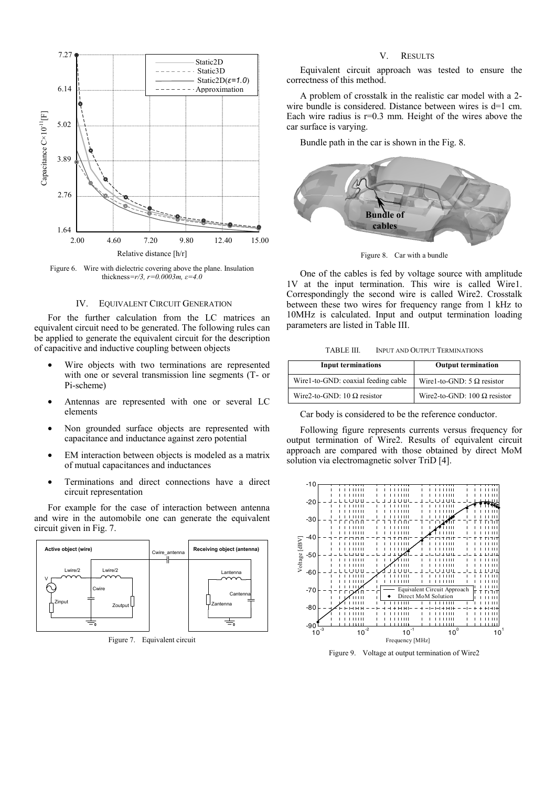

Figure 6. Wire with dielectric covering above the plane. Insulation thickness*=r/3, r=0.0003m, ε=4.0*

### IV. EQUIVALENT CIRCUIT GENERATION

For the further calculation from the LC matrices an equivalent circuit need to be generated. The following rules can be applied to generate the equivalent circuit for the description of capacitive and inductive coupling between objects

- Wire objects with two terminations are represented with one or several transmission line segments (T- or Pi-scheme)
- Antennas are represented with one or several LC elements
- Non grounded surface objects are represented with capacitance and inductance against zero potential
- EM interaction between objects is modeled as a matrix of mutual capacitances and inductances
- Terminations and direct connections have a direct circuit representation

For example for the case of interaction between antenna and wire in the automobile one can generate the equivalent circuit given in Fig. 7.



Figure 7. Equivalent circuit

## V. RESULTS

Equivalent circuit approach was tested to ensure the correctness of this method.

A problem of crosstalk in the realistic car model with a 2 wire bundle is considered. Distance between wires is d=1 cm. Each wire radius is  $r=0.3$  mm. Height of the wires above the car surface is varying.

Bundle path in the car is shown in the Fig. 8.



Figure 8. Car with a bundle

One of the cables is fed by voltage source with amplitude 1V at the input termination. This wire is called Wire1. Correspondingly the second wire is called Wire2. Crosstalk between these two wires for frequency range from 1 kHz to 10MHz is calculated. Input and output termination loading parameters are listed in Table III.

TABLE III. INPUT AND OUTPUT TERMINATIONS

| <b>Input terminations</b>           | <b>Output termination</b>           |
|-------------------------------------|-------------------------------------|
| Wirel-to-GND: coaxial feeding cable | Wirel-to-GND: 5 $\Omega$ resistor   |
| Wire2-to-GND: 10 $\Omega$ resistor  | Wire2-to-GND: 100 $\Omega$ resistor |

Car body is considered to be the reference conductor.

Following figure represents currents versus frequency for output termination of Wire2. Results of equivalent circuit approach are compared with those obtained by direct MoM solution via electromagnetic solver TriD [4].



Figure 9. Voltage at output termination of Wire2